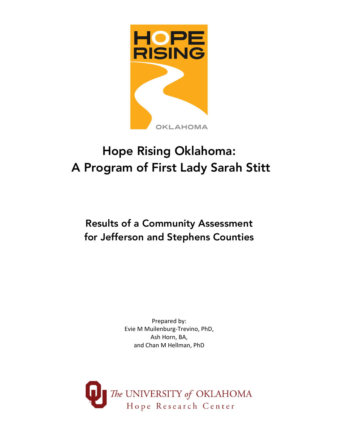

# Hope Rising Oklahoma: A Program of First Lady Sarah Stitt

## Results of a Community Assessment for Jefferson and Stephens Counties

Prepared by: Evie M Muilenburg-Trevino, PhD, Ash Horn, BA, and Chan M Hellman, PhD

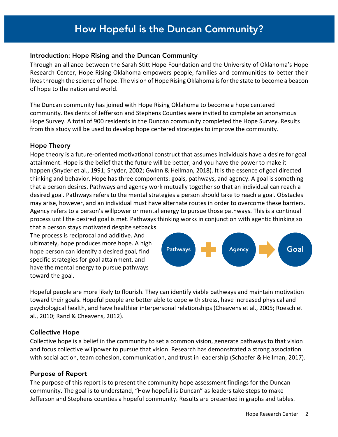#### How Hopeful is the Duncan Community? How Hopeful is the Duncan Community?

#### Introduction: Hope Rising and the Duncan Community

Through an alliance between the Sarah Stitt Hope Foundation and the University of Oklahoma's Hope Research Center, Hope Rising Oklahoma empowers people, families and communities to better their lives through the science of hope. The vision of Hope Rising Oklahoma is for the state to become a beacon of hope to the nation and world.

The Duncan community has joined with Hope Rising Oklahoma to become a hope centered community. Residents of Jefferson and Stephens Counties were invited to complete an anonymous Hope Survey. A total of 900 residents in the Duncan community completed the Hope Survey. Results from this study will be used to develop hope centered strategies to improve the community.

#### Hope Theory

Hope theory is a future-oriented motivational construct that assumes individuals have a desire for goal attainment. Hope is the belief that the future will be better, and you have the power to make it happen (Snyder et al., 1991; Snyder, 2002; Gwinn & Hellman, 2018). It is the essence of goal directed thinking and behavior. Hope has three components: goals, pathways, and agency. A goal is something that a person desires. Pathways and agency work mutually together so that an individual can reach a desired goal. Pathways refers to the mental strategies a person should take to reach a goal. Obstacles may arise, however, and an individual must have alternate routes in order to overcome these barriers. Agency refers to a person's willpower or mental energy to pursue those pathways. This is a continual process until the desired goal is met. Pathways thinking works in conjunction with agentic thinking so

that a person stays motivated despite setbacks. The process is reciprocal and additive. And ultimately, hope produces more hope. A high hope person can identify a desired goal, find specific strategies for goal attainment, and have the mental energy to pursue pathways toward the goal.



Hopeful people are more likely to flourish. They can identify viable pathways and maintain motivation toward their goals. Hopeful people are better able to cope with stress, have increased physical and psychological health, and have healthier interpersonal relationships (Cheavens et al., 2005; Roesch et al., 2010; Rand & Cheavens, 2012).

#### Collective Hope

Collective hope is a belief in the community to set a common vision, generate pathways to that vision and focus collective willpower to pursue that vision. Research has demonstrated a strong association with social action, team cohesion, communication, and trust in leadership (Schaefer & Hellman, 2017).

#### Purpose of Report

The purpose of this report is to present the community hope assessment findings for the Duncan community. The goal is to understand, "How hopeful is Duncan" as leaders take steps to make Jefferson and Stephens counties a hopeful community. Results are presented in graphs and tables.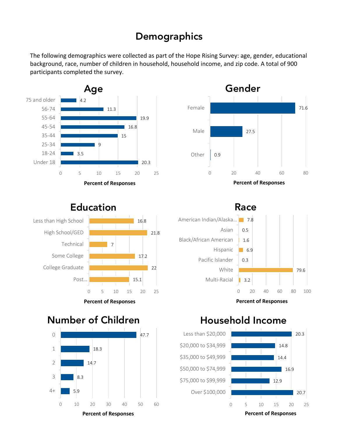## **Demographics**

The following demographics were collected as part of the Hope Rising Survey: age, gender, educational background, race, number of children in household, household income, and zip code. A total of 900 participants completed the survey.





## Education



**Percent of Responses**

Race



**Percent of Responses**

## Number of Children



## Household Income

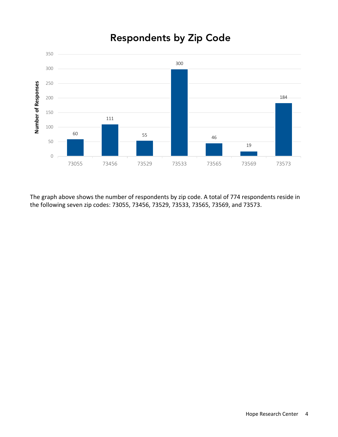## Respondents by Zip Code



The graph above shows the number of respondents by zip code. A total of 774 respondents reside in the following seven zip codes: 73055, 73456, 73529, 73533, 73565, 73569, and 73573.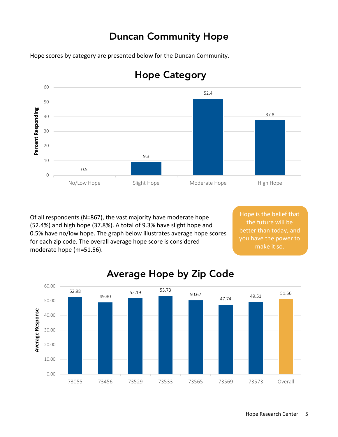## Duncan Community Hope

Hope scores by category are presented below for the Duncan Community.



## Hope Category

Of all respondents (N=867), the vast majority have moderate hope (52.4%) and high hope (37.8%). A total of 9.3% have slight hope and 0.5% have no/low hope. The graph below illustrates average hope scores for each zip code. The overall average hope score is considered moderate hope (m=51.56).

Hope is the belief that the future will be better than today, and you have the power to make it so.



## Average Hope by Zip Code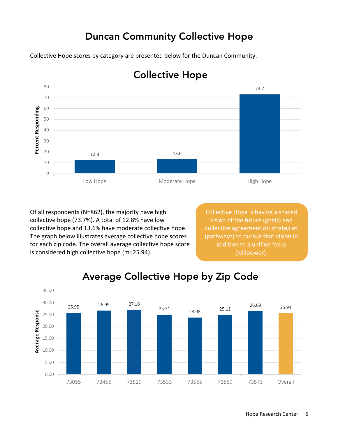## Duncan Community Collective Hope

Collective Hope scores by category are presented below for the Duncan Community.



### Collective Hope

Of all respondents (N=862), the majority have high collective hope (73.7%). A total of 12.8% have low collective hope and 13.6% have moderate collective hope. The graph below illustrates average collective hope scores for each zip code. The overall average collective hope score is considered high collective hope (m=25.94).

Collective Hope is having a shared vision of the future (goals) and collective agreement on strategies (pathways) to pursue that vision in addition to a unified focus (willpower).



## Average Collective Hope by Zip Code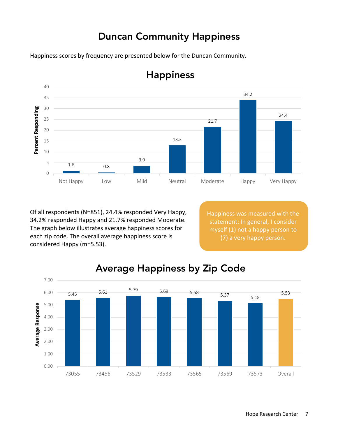## Duncan Community Happiness

Happiness scores by frequency are presented below for the Duncan Community.



## Happiness

Of all respondents (N=851), 24.4% responded Very Happy, 34.2% responded Happy and 21.7% responded Moderate. The graph below illustrates average happiness scores for each zip code. The overall average happiness score is considered Happy (m=5.53).

Happiness was measured with the statement: In general, I consider myself (1) not a happy person to (7) a very happy person.



## Average Happiness by Zip Code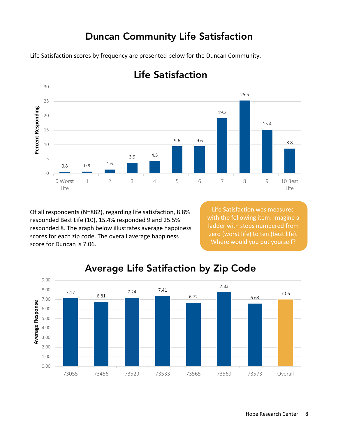## Duncan Community Life Satisfaction

Life Satisfaction scores by frequency are presented below for the Duncan Community.



## Life Satisfaction

Of all respondents (N=882), regarding life satisfaction, 8.8% responded Best Life (10), 15.4% responded 9 and 25.5% responded 8. The graph below illustrates average happiness scores for each zip code. The overall average happiness score for Duncan is 7.06.

Life Satisfaction was measured with the following item: Imagine a ladder with steps numbered from zero (worst life) to ten (best life). Where would you put yourself?



## Average Life Satifaction by Zip Code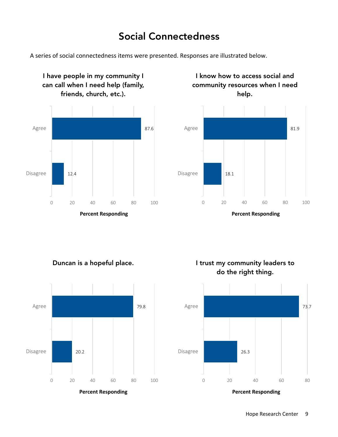## Social Connectedness

A series of social connectedness items were presented. Responses are illustrated below.



I know how to access social and community resources when I need



**Percent Responding**

Duncan is a hopeful place.



I trust my community leaders to do the right thing.

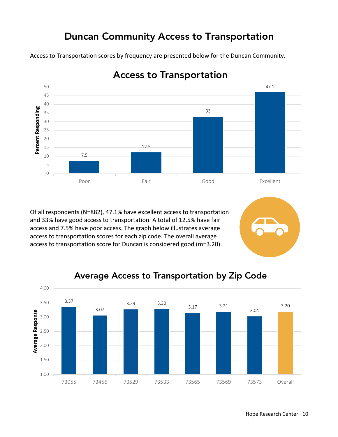## Duncan Community Access to Transportation

Access to Transportation scores by frequency are presented below for the Duncan Community.



Access to Transportation

Of all respondents (N=882), 47.1% have excellent access to transportation and 33% have good access to transportation. A total of 12.5% have fair access and 7.5% have poor access. The graph below illustrates average access to transportation scores for each zip code. The overall average access to transportation score for Duncan is considered good (m=3.20).



### Average Access to Transportation by Zip Code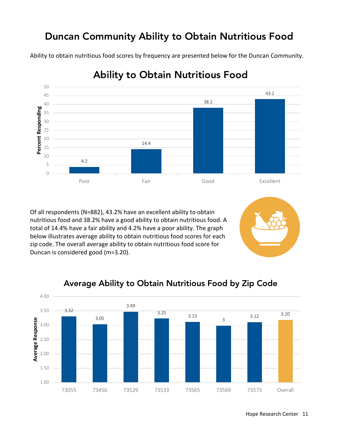## Duncan Community Ability to Obtain Nutritious Food

Ability to obtain nutritious food scores by frequency are presented below for the Duncan Community.



## Ability to Obtain Nutritious Food

Of all respondents (N=882), 43.2% have an excellent ability to obtain nutritious food and 38.2% have a good ability to obtain nutritious food. A total of 14.4% have a fair ability and 4.2% have a poor ability. The graph below illustrates average ability to obtain nutritious food scores for each zip code. The overall average ability to obtain nutritious food score for Duncan is considered good (m=3.20).

### Average Ability to Obtain Nutritious Food by Zip Code

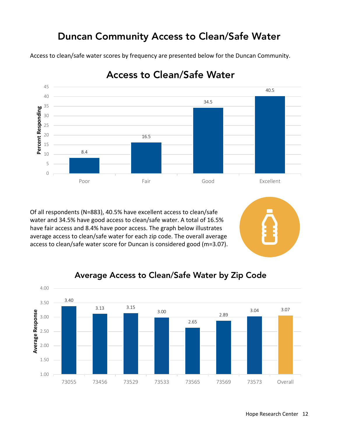## Duncan Community Access to Clean/Safe Water

Access to clean/safe water scores by frequency are presented below for the Duncan Community.



## Access to Clean/Safe Water

Of all respondents (N=883), 40.5% have excellent access to clean/safe water and 34.5% have good access to clean/safe water. A total of 16.5% have fair access and 8.4% have poor access. The graph below illustrates average access to clean/safe water for each zip code. The overall average access to clean/safe water score for Duncan is considered good (m=3.07).

### Average Access to Clean/Safe Water by Zip Code

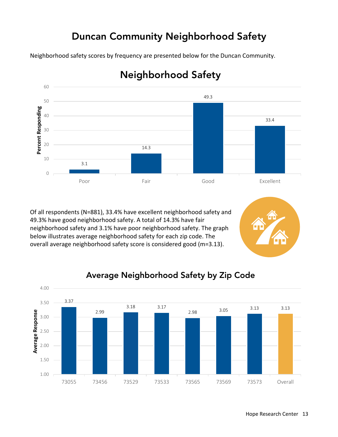## Duncan Community Neighborhood Safety

Neighborhood safety scores by frequency are presented below for the Duncan Community.



## Neighborhood Safety

Of all respondents (N=881), 33.4% have excellent neighborhood safety and 49.3% have good neighborhood safety. A total of 14.3% have fair neighborhood safety and 3.1% have poor neighborhood safety. The graph below illustrates average neighborhood safety for each zip code. The overall average neighborhood safety score is considered good (m=3.13).



### Average Neighborhood Safety by Zip Code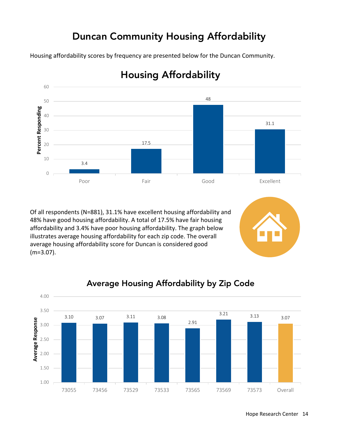## Duncan Community Housing Affordability

Housing affordability scores by frequency are presented below for the Duncan Community.



## Housing Affordability

Of all respondents (N=881), 31.1% have excellent housing affordability and 48% have good housing affordability. A total of 17.5% have fair housing affordability and 3.4% have poor housing affordability. The graph below illustrates average housing affordability for each zip code. The overall average housing affordability score for Duncan is considered good (m=3.07).

### Average Housing Affordability by Zip Code

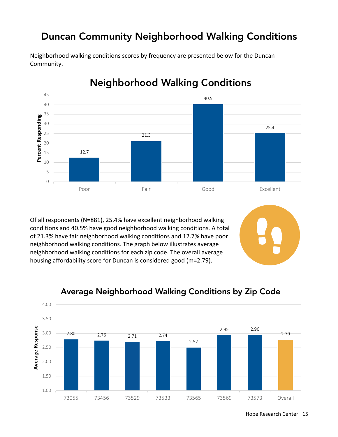## Duncan Community Neighborhood Walking Conditions



Neighborhood walking conditions scores by frequency are presented below for the Duncan Community.

## Neighborhood Walking Conditions

Of all respondents (N=881), 25.4% have excellent neighborhood walking conditions and 40.5% have good neighborhood walking conditions. A total of 21.3% have fair neighborhood walking conditions and 12.7% have poor neighborhood walking conditions. The graph below illustrates average neighborhood walking conditions for each zip code. The overall average housing affordability score for Duncan is considered good (m=2.79).



#### Average Neighborhood Walking Conditions by Zip Code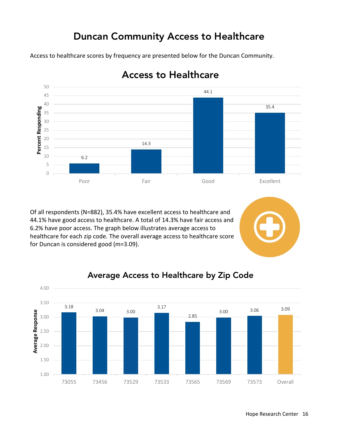## Duncan Community Access to Healthcare

Access to healthcare scores by frequency are presented below for the Duncan Community.



### Access to Healthcare

Of all respondents (N=882), 35.4% have excellent access to healthcare and 44.1% have good access to healthcare. A total of 14.3% have fair access and 6.2% have poor access. The graph below illustrates average access to healthcare for each zip code. The overall average access to healthcare score for Duncan is considered good (m=3.09).

#### Average Access to Healthcare by Zip Code

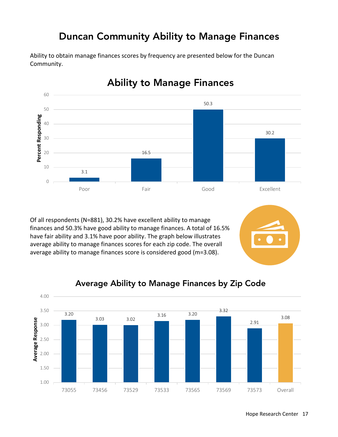## Duncan Community Ability to Manage Finances

Ability to obtain manage finances scores by frequency are presented below for the Duncan Community.



Ability to Manage Finances

Of all respondents (N=881), 30.2% have excellent ability to manage finances and 50.3% have good ability to manage finances. A total of 16.5% have fair ability and 3.1% have poor ability. The graph below illustrates average ability to manage finances scores for each zip code. The overall average ability to manage finances score is considered good (m=3.08).

#### Average Ability to Manage Finances by Zip Code

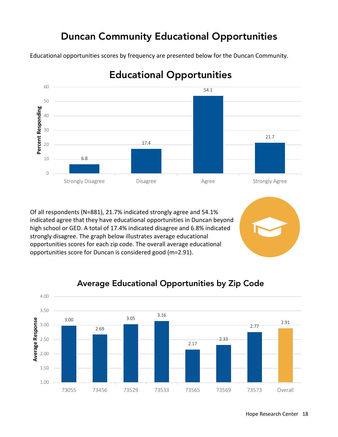## Duncan Community Educational Opportunities

Educational opportunities scores by frequency are presented below for the Duncan Community.



## Educational Opportunities

Of all respondents (N=881), 21.7% indicated strongly agree and 54.1% indicated agree that they have educational opportunities in Duncan beyond high school or GED. A total of 17.4% indicated disagree and 6.8% indicated strongly disagree. The graph below illustrates average educational opportunities scores for each zip code. The overall average educational opportunities score for Duncan is considered good (m=2.91).

### Average Educational Opportunities by Zip Code

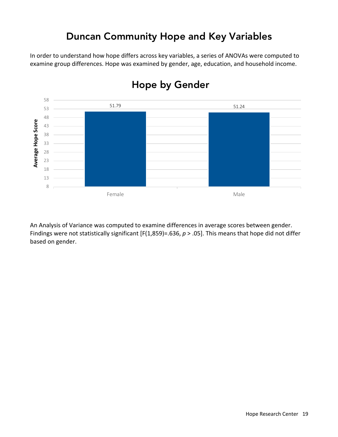## Duncan Community Hope and Key Variables

In order to understand how hope differs across key variables, a series of ANOVAs were computed to examine group differences. Hope was examined by gender, age, education, and household income.



## Hope by Gender

An Analysis of Variance was computed to examine differences in average scores between gender. Findings were not statistically significant [F(1,859)=.636, *p* > .05]. This means that hope did not differ based on gender.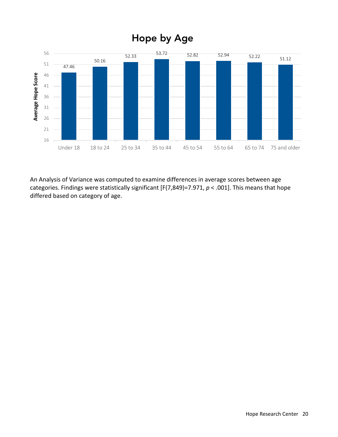

An Analysis of Variance was computed to examine differences in average scores between age categories. Findings were statistically significant [F(7,849)=7.971, *p* < .001]. This means that hope differed based on category of age.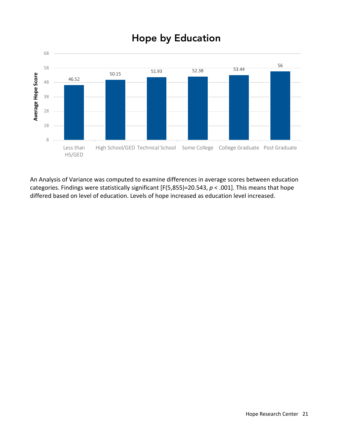

## Hope by Education

An Analysis of Variance was computed to examine differences in average scores between education categories. Findings were statistically significant [F(5,855)=20.543, *p* < .001]. This means that hope differed based on level of education. Levels of hope increased as education level increased.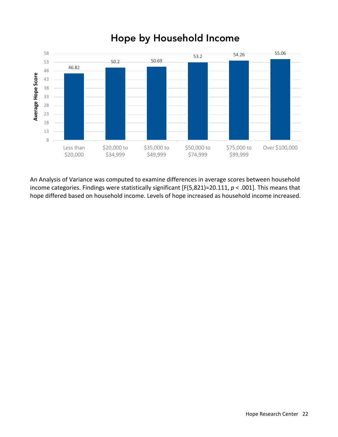

## Hope by Household Income

An Analysis of Variance was computed to examine differences in average scores between household income categories. Findings were statistically significant [F(5,821)=20.111, *p* < .001]. This means that hope differed based on household income. Levels of hope increased as household income increased.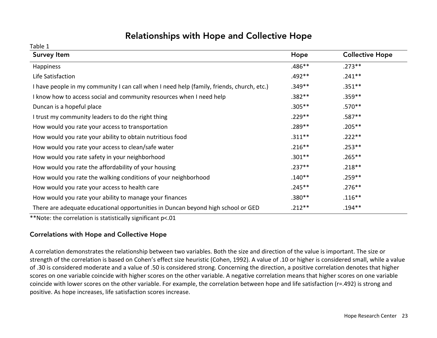### Relationships with Hope and Collective Hope

Table 1

| <b>Survey Item</b>                                                                        | Hope      | <b>Collective Hope</b> |
|-------------------------------------------------------------------------------------------|-----------|------------------------|
| Happiness                                                                                 | $.486**$  | $.273**$               |
| Life Satisfaction                                                                         | $.492**$  | $.241**$               |
| I have people in my community I can call when I need help (family, friends, church, etc.) | $.349**$  | $.351***$              |
| I know how to access social and community resources when I need help                      | $.382**$  | $.359***$              |
| Duncan is a hopeful place                                                                 | $.305***$ | $.570**$               |
| I trust my community leaders to do the right thing                                        | $.229**$  | $.587**$               |
| How would you rate your access to transportation                                          | $.289**$  | $.205***$              |
| How would you rate your ability to obtain nutritious food                                 | $.311***$ | $.222**$               |
| How would you rate your access to clean/safe water                                        | $.216***$ | $.253***$              |
| How would you rate safety in your neighborhood                                            | $.301**$  | $.265***$              |
| How would you rate the affordability of your housing                                      | $.237**$  | $.218***$              |
| How would you rate the walking conditions of your neighborhood                            | $.140**$  | $.259***$              |
| How would you rate your access to health care                                             | $.245***$ | $.276***$              |
| How would you rate your ability to manage your finances                                   | $.380**$  | $.116**$               |
| There are adequate educational opportunities in Duncan beyond high school or GED          | $.212**$  | $.194***$              |

\*\*Note: the correlation is statistically significant p<.01

#### Correlations with Hope and Collective Hope

A correlation demonstrates the relationship between two variables. Both the size and direction of the value is important. The size or strength of the correlation is based on Cohen's effect size heuristic (Cohen, 1992). A value of .10 or higher is considered small, while a value of .30 is considered moderate and a value of .50 is considered strong. Concerning the direction, a positive correlation denotes that higher scores on one variable coincide with higher scores on the other variable. A negative correlation means that higher scores on one variable coincide with lower scores on the other variable. For example, the correlation between hope and life satisfaction (r=.492) is strong and positive. As hope increases, life satisfaction scores increase.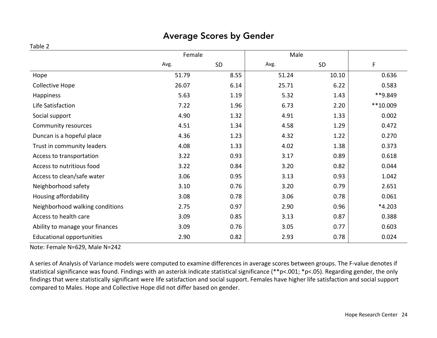### Average Scores by Gender

#### Table 2

|                                  | Female |      |       |       |          |
|----------------------------------|--------|------|-------|-------|----------|
|                                  | Avg.   | SD   | Avg.  | SD    | F        |
| Hope                             | 51.79  | 8.55 | 51.24 | 10.10 | 0.636    |
| Collective Hope                  | 26.07  | 6.14 | 25.71 | 6.22  | 0.583    |
| Happiness                        | 5.63   | 1.19 | 5.32  | 1.43  | **9.849  |
| Life Satisfaction                | 7.22   | 1.96 | 6.73  | 2.20  | **10.009 |
| Social support                   | 4.90   | 1.32 | 4.91  | 1.33  | 0.002    |
| Community resources              | 4.51   | 1.34 | 4.58  | 1.29  | 0.472    |
| Duncan is a hopeful place        | 4.36   | 1.23 | 4.32  | 1.22  | 0.270    |
| Trust in community leaders       | 4.08   | 1.33 | 4.02  | 1.38  | 0.373    |
| Access to transportation         | 3.22   | 0.93 | 3.17  | 0.89  | 0.618    |
| Access to nutritious food        | 3.22   | 0.84 | 3.20  | 0.82  | 0.044    |
| Access to clean/safe water       | 3.06   | 0.95 | 3.13  | 0.93  | 1.042    |
| Neighborhood safety              | 3.10   | 0.76 | 3.20  | 0.79  | 2.651    |
| Housing affordability            | 3.08   | 0.78 | 3.06  | 0.78  | 0.061    |
| Neighborhood walking conditions  | 2.75   | 0.97 | 2.90  | 0.96  | $*4.203$ |
| Access to health care            | 3.09   | 0.85 | 3.13  | 0.87  | 0.388    |
| Ability to manage your finances  | 3.09   | 0.76 | 3.05  | 0.77  | 0.603    |
| <b>Educational opportunities</b> | 2.90   | 0.82 | 2.93  | 0.78  | 0.024    |

Note: Female N=629, Male N=242

A series of Analysis of Variance models were computed to examine differences in average scores between groups. The F-value denotes if statistical significance was found. Findings with an asterisk indicate statistical significance (\*\*p<.001; \*p<.05). Regarding gender, the only findings that were statistically significant were life satisfaction and social support. Females have higher life satisfaction and social support compared to Males. Hope and Collective Hope did not differ based on gender.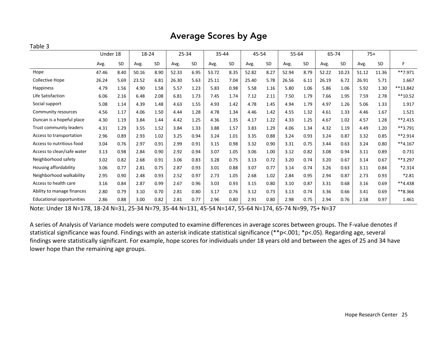#### Average Scores by Age

#### Table 3

|                                  | Under 18<br>18-24 |           |       | 25-34 |       | 35-44 |       | 45-54 |       | 55-64 |       | 65-74 |       | $75+$ |       |       |           |
|----------------------------------|-------------------|-----------|-------|-------|-------|-------|-------|-------|-------|-------|-------|-------|-------|-------|-------|-------|-----------|
|                                  | Avg.              | <b>SD</b> | Avg.  | SD    | Avg.  | SD    | Avg.  | SD    | Avg.  | SD    | Avg.  | SD    | Avg.  | SD    | Avg.  | SD    | F         |
| Hope                             | 47.46             | 8.40      | 50.16 | 8.90  | 52.33 | 6.95  | 53.72 | 8.35  | 52.82 | 8.27  | 52.94 | 8.79  | 52.22 | 10.23 | 51.12 | 11.36 | $**7.971$ |
| Collective Hope                  | 26.24             | 5.69      | 23.52 | 6.81  | 26.30 | 5.63  | 25.11 | 7.04  | 25.40 | 5.78  | 26.56 | 6.11  | 26.19 | 6.72  | 26.91 | 5.71  | 1.667     |
| Happiness                        | 4.79              | 1.56      | 4.90  | 1.58  | 5.57  | 1.23  | 5.83  | 0.98  | 5.58  | 1.16  | 5.80  | 1.06  | 5.86  | 1.06  | 5.92  | 1.30  | **13.842  |
| Life Satisfaction                | 6.06              | 2.16      | 6.48  | 2.08  | 6.81  | 1.73  | 7.45  | 1.74  | 7.12  | 2.11  | 7.50  | 1.79  | 7.66  | 1.95  | 7.59  | 2.78  | $**10.52$ |
| Social support                   | 5.08              | 1.14      | 4.39  | 1.48  | 4.63  | 1.55  | 4.93  | 1.42  | 4.78  | 1.45  | 4.94  | 1.79  | 4.97  | 1.26  | 5.06  | 1.33  | 1.917     |
| Community resources              | 4.56              | 1.17      | 4.06  | 1.50  | 4.44  | 1.28  | 4.78  | 1.34  | 4.46  | 1.42  | 4.55  | 1.32  | 4.61  | 1.33  | 4.46  | 1.67  | 1.521     |
| Duncan is a hopeful place        | 4.30              | 1.19      | 3.84  | 1.44  | 4.42  | 1.25  | 4.36  | 1.35  | 4.17  | 1.22  | 4.33  | 1.25  | 4.67  | 1.02  | 4.57  | 1.28  | $**2.415$ |
| Trust community leaders          | 4.31              | 1.29      | 3.55  | 1.52  | 3.84  | 1.33  | 3.88  | 1.57  | 3.83  | 1.29  | 4.06  | 1.34  | 4.32  | 1.19  | 4.49  | 1.20  | **3.791   |
| Access to transportation         | 2.96              | 0.89      | 2.93  | 1.02  | 3.25  | 0.94  | 3.24  | 1.01  | 3.35  | 0.88  | 3.24  | 0.93  | 3.24  | 0.87  | 3.32  | 0.85  | **2.914   |
| Access to nutritious food        | 3.04              | 0.76      | 2.97  | 0.91  | 2.99  | 0.91  | 3.15  | 0.98  | 3.32  | 0.90  | 3.31  | 0.75  | 3.44  | 0.63  | 3.24  | 0.80  | $**4.167$ |
| Access to clean/safe water       | 3.13              | 0.98      | 2.84  | 0.90  | 2.92  | 0.94  | 3.07  | 1.05  | 3.06  | 1.00  | 3.12  | 0.82  | 3.08  | 0.94  | 3.11  | 0.89  | 0.731     |
| Neighborhood safety              | 3.02              | 0.82      | 2.68  | 0.91  | 3.06  | 0.83  | 3.28  | 0.75  | 3.13  | 0.72  | 3.20  | 0.74  | 3.20  | 0.67  | 3.14  | 0.67  | **3.297   |
| Housing affordability            | 3.06              | 0.77      | 2.81  | 0.75  | 2.87  | 0.93  | 3.01  | 0.88  | 3.07  | 0.77  | 3.14  | 0.74  | 3.26  | 0.63  | 3.11  | 0.84  | $*2.314$  |
| Neighborhood walkability         | 2.95              | 0.90      | 2.48  | 0.93  | 2.52  | 0.97  | 2.73  | 1.05  | 2.68  | 1.02  | 2.84  | 0.95  | 2.94  | 0.87  | 2.73  | 0.93  | $*2.81$   |
| Access to health care            | 3.16              | 0.84      | 2.87  | 0.99  | 2.67  | 0.96  | 3.03  | 0.93  | 3.15  | 0.80  | 3.10  | 0.87  | 3.31  | 0.68  | 3.16  | 0.69  | **4.438   |
| Ability to manage finances       | 2.80              | 0.79      | 3.10  | 0.70  | 2.81  | 0.80  | 3.17  | 0.76  | 3.12  | 0.73  | 3.13  | 0.74  | 3.36  | 0.66  | 3.41  | 0.69  | **8.366   |
| <b>Educational opportunities</b> | 2.86              | 0.88      | 3.00  | 0.82  | 2.81  | 0.77  | 2.96  | 0.80  | 2.91  | 0.80  | 2.98  | 0.75  | 2.94  | 0.76  | 2.58  | 0.97  | 1.461     |

Note: Under 18 N=178, 18-24 N=31, 25-34 N=79, 35-44 N=131, 45-54 N=147, 55-64 N=174, 65-74 N=99, 75+ N=37

A series of Analysis of Variance models were computed to examine differences in average scores between groups. The F-value denotes if statistical significance was found. Findings with an asterisk indicate statistical significance (\*\*p<.001; \*p<.05). Regarding age, several findings were statistically significant. For example, hope scores for individuals under 18 years old and between the ages of 25 and 34 have lower hope than the remaining age groups.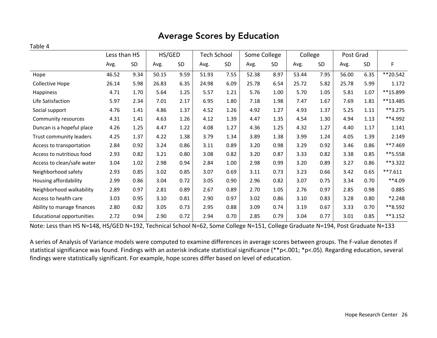### Average Scores by Education

#### Table 4

|                                  | Less than HS |      | HS/GED |      | Tech School |      | Some College |           | College |      | Post Grad |      |            |
|----------------------------------|--------------|------|--------|------|-------------|------|--------------|-----------|---------|------|-----------|------|------------|
|                                  | Avg.         | SD   | Avg.   | SD   | Avg.        | SD   | Avg.         | <b>SD</b> | Avg.    | SD   | Avg.      | SD   | F          |
| Hope                             | 46.52        | 9.34 | 50.15  | 9.59 | 51.93       | 7.55 | 52.38        | 8.97      | 53.44   | 7.95 | 56.00     | 6.35 | **20.542   |
| <b>Collective Hope</b>           | 26.14        | 5.98 | 26.83  | 6.35 | 24.98       | 6.09 | 25.78        | 6.54      | 25.72   | 5.82 | 25.78     | 5.99 | 1.172      |
| Happiness                        | 4.71         | 1.70 | 5.64   | 1.25 | 5.57        | 1.21 | 5.76         | 1.00      | 5.70    | 1.05 | 5.81      | 1.07 | **15.899   |
| Life Satisfaction                | 5.97         | 2.34 | 7.01   | 2.17 | 6.95        | 1.80 | 7.18         | 1.98      | 7.47    | 1.67 | 7.69      | 1.81 | **13.485   |
| Social support                   | 4.76         | 1.41 | 4.86   | 1.37 | 4.52        | 1.26 | 4.92         | 1.27      | 4.93    | 1.37 | 5.25      | 1.11 | $**3.275$  |
| Community resources              | 4.31         | 1.41 | 4.63   | 1.26 | 4.12        | 1.39 | 4.47         | 1.35      | 4.54    | 1.30 | 4.94      | 1.13 | **4.992    |
| Duncan is a hopeful place        | 4.26         | 1.25 | 4.47   | 1.22 | 4.08        | 1.27 | 4.36         | 1.25      | 4.32    | 1.27 | 4.40      | 1.17 | 1.141      |
| Trust community leaders          | 4.25         | 1.37 | 4.22   | 1.38 | 3.79        | 1.34 | 3.89         | 1.38      | 3.99    | 1.24 | 4.05      | 1.39 | 2.149      |
| Access to transportation         | 2.84         | 0.92 | 3.24   | 0.86 | 3.11        | 0.89 | 3.20         | 0.98      | 3.29    | 0.92 | 3.46      | 0.86 | **7.469    |
| Access to nutritious food        | 2.93         | 0.82 | 3.21   | 0.80 | 3.08        | 0.82 | 3.20         | 0.87      | 3.33    | 0.82 | 3.38      | 0.85 | **5.558    |
| Access to clean/safe water       | 3.04         | 1.02 | 2.98   | 0.94 | 2.84        | 1.00 | 2.98         | 0.99      | 3.20    | 0.89 | 3.27      | 0.86 | **3.322    |
| Neighborhood safety              | 2.93         | 0.85 | 3.02   | 0.85 | 3.07        | 0.69 | 3.11         | 0.73      | 3.23    | 0.66 | 3.42      | 0.65 | $**7.611$  |
| Housing affordability            | 2.99         | 0.86 | 3.04   | 0.72 | 3.05        | 0.90 | 2.96         | 0.82      | 3.07    | 0.75 | 3.34      | 0.70 | $**4.09$   |
| Neighborhood walkability         | 2.89         | 0.97 | 2.81   | 0.89 | 2.67        | 0.89 | 2.70         | 1.05      | 2.76    | 0.97 | 2.85      | 0.98 | 0.885      |
| Access to health care            | 3.03         | 0.95 | 3.10   | 0.81 | 2.90        | 0.97 | 3.02         | 0.86      | 3.10    | 0.83 | 3.28      | 0.80 | $*2.248$   |
| Ability to manage finances       | 2.80         | 0.82 | 3.05   | 0.73 | 2.95        | 0.88 | 3.09         | 0.74      | 3.19    | 0.67 | 3.33      | 0.70 | **8.592    |
| <b>Educational opportunities</b> | 2.72         | 0.94 | 2.90   | 0.72 | 2.94        | 0.70 | 2.85         | 0.79      | 3.04    | 0.77 | 3.01      | 0.85 | $***3.152$ |

Note: Less than HS N=148, HS/GED N=192, Technical School N=62, Some College N=151, College Graduate N=194, Post Graduate N=133

A series of Analysis of Variance models were computed to examine differences in average scores between groups. The F-value denotes if statistical significance was found. Findings with an asterisk indicate statistical significance (\*\*p<.001; \*p<.05). Regarding education, several findings were statistically significant. For example, hope scores differ based on level of education.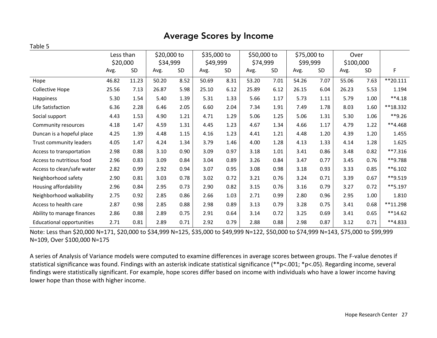#### Average Scores by Income

#### Table 5

|                                  | Less than<br>\$20,000 |       | \$20,000 to<br>\$34,999 |           | \$35,000 to<br>\$49,999 |           | \$50,000 to<br>\$74,999 |      | \$75,000 to<br>\$99,999 |      | Over<br>\$100,000 |           |            |
|----------------------------------|-----------------------|-------|-------------------------|-----------|-------------------------|-----------|-------------------------|------|-------------------------|------|-------------------|-----------|------------|
|                                  | Avg.                  | SD    | Avg.                    | <b>SD</b> | Avg.                    | <b>SD</b> | Avg.                    | SD   | Avg.                    | SD   | Avg.              | <b>SD</b> | F          |
| Hope                             | 46.82                 | 11.23 | 50.20                   | 8.52      | 50.69                   | 8.31      | 53.20                   | 7.01 | 54.26                   | 7.07 | 55.06             | 7.63      | $**20.111$ |
| Collective Hope                  | 25.56                 | 7.13  | 26.87                   | 5.98      | 25.10                   | 6.12      | 25.89                   | 6.12 | 26.15                   | 6.04 | 26.23             | 5.53      | 1.194      |
| Happiness                        | 5.30                  | 1.54  | 5.40                    | 1.39      | 5.31                    | 1.33      | 5.66                    | 1.17 | 5.73                    | 1.11 | 5.79              | 1.00      | $**4.18$   |
| Life Satisfaction                | 6.36                  | 2.28  | 6.46                    | 2.05      | 6.60                    | 2.04      | 7.34                    | 1.91 | 7.49                    | 1.78 | 8.03              | 1.60      | **18.332   |
| Social support                   | 4.43                  | 1.53  | 4.90                    | 1.21      | 4.71                    | 1.29      | 5.06                    | 1.25 | 5.06                    | 1.31 | 5.30              | 1.06      | **9.26     |
| Community resources              | 4.18                  | 1.47  | 4.59                    | 1.31      | 4.45                    | 1.23      | 4.67                    | 1.34 | 4.66                    | 1.17 | 4.79              | 1.22      | $**4.468$  |
| Duncan is a hopeful place        | 4.25                  | 1.39  | 4.48                    | 1.15      | 4.16                    | 1.23      | 4.41                    | 1.21 | 4.48                    | 1.20 | 4.39              | 1.20      | 1.455      |
| Trust community leaders          | 4.05                  | 1.47  | 4.24                    | 1.34      | 3.79                    | 1.46      | 4.00                    | 1.28 | 4.13                    | 1.33 | 4.14              | 1.28      | 1.625      |
| Access to transportation         | 2.98                  | 0.88  | 3.10                    | 0.90      | 3.09                    | 0.97      | 3.18                    | 1.01 | 3.41                    | 0.86 | 3.48              | 0.82      | $**7.316$  |
| Access to nutritious food        | 2.96                  | 0.83  | 3.09                    | 0.84      | 3.04                    | 0.89      | 3.26                    | 0.84 | 3.47                    | 0.77 | 3.45              | 0.76      | **9.788    |
| Access to clean/safe water       | 2.82                  | 0.99  | 2.92                    | 0.94      | 3.07                    | 0.95      | 3.08                    | 0.98 | 3.18                    | 0.93 | 3.33              | 0.85      | $**6.102$  |
| Neighborhood safety              | 2.90                  | 0.81  | 3.03                    | 0.78      | 3.02                    | 0.72      | 3.21                    | 0.76 | 3.24                    | 0.71 | 3.39              | 0.67      | **9.519    |
| Housing affordability            | 2.96                  | 0.84  | 2.95                    | 0.73      | 2.90                    | 0.82      | 3.15                    | 0.76 | 3.16                    | 0.79 | 3.27              | 0.72      | **5.197    |
| Neighborhood walkability         | 2.75                  | 0.92  | 2.85                    | 0.86      | 2.66                    | 1.03      | 2.71                    | 0.99 | 2.80                    | 0.96 | 2.95              | 1.00      | 1.810      |
| Access to health care            | 2.87                  | 0.98  | 2.85                    | 0.88      | 2.98                    | 0.89      | 3.13                    | 0.79 | 3.28                    | 0.75 | 3.41              | 0.68      | **11.298   |
| Ability to manage finances       | 2.86                  | 0.88  | 2.89                    | 0.75      | 2.91                    | 0.64      | 3.14                    | 0.72 | 3.25                    | 0.69 | 3.41              | 0.65      | $**14.62$  |
| <b>Educational opportunities</b> | 2.71                  | 0.81  | 2.89                    | 0.71      | 2.92                    | 0.79      | 2.88                    | 0.88 | 2.98                    | 0.87 | 3.12              | 0.71      | $**4.833$  |

Note: Less than \$20,000 N=171, \$20,000 to \$34,999 N=125, \$35,000 to \$49,999 N=122, \$50,000 to \$74,999 N=143, \$75,000 to \$99,999 N=109, Over \$100,000 N=175

A series of Analysis of Variance models were computed to examine differences in average scores between groups. The F-value denotes if statistical significance was found. Findings with an asterisk indicate statistical significance (\*\*p<.001; \*p<.05). Regarding income, several findings were statistically significant. For example, hope scores differ based on income with individuals who have a lower income having lower hope than those with higher income.